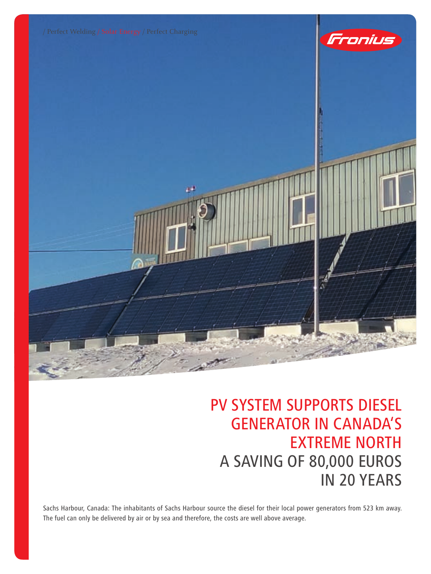





## PV SYSTEM SUPPORTS DIESEL GENERATOR IN CANADA'S EXTREME NORTH A saving of 80,000 euros in 20 years

Sachs Harbour, Canada: The inhabitants of Sachs Harbour source the diesel for their local power generators from 523 km away. The fuel can only be delivered by air or by sea and therefore, the costs are well above average.